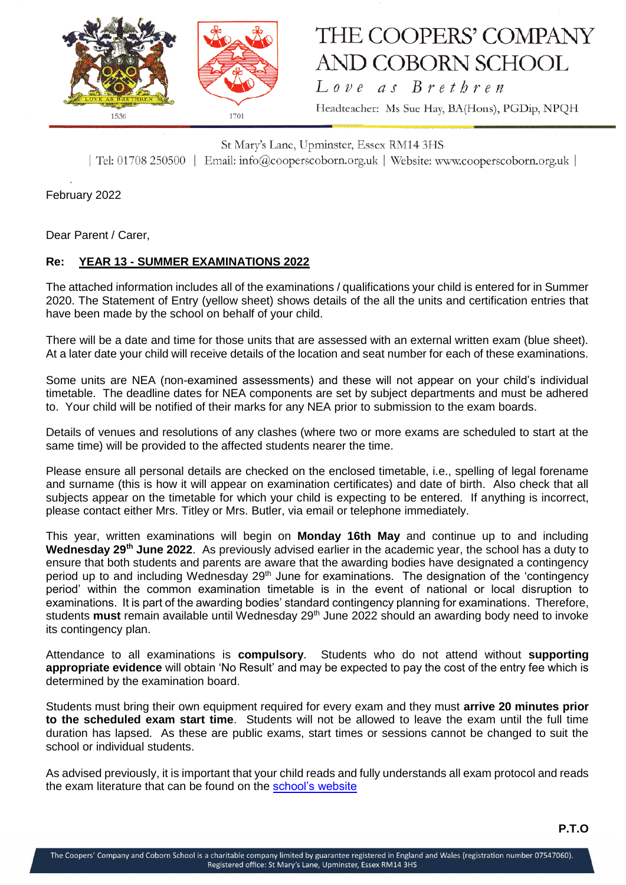

## THE COOPERS' COMPANY **AND COBORN SCHOOL**

Love as Brethren Headteacher: Ms Sue Hay, BA(Hons), PGDip, NPQH

St Mary's Lane, Upminster, Essex RM14 3HS | Tel: 01708 250500 | Email: info@cooperscoborn.org.uk | Website: www.cooperscoborn.org.uk |

February 2022

Dear Parent / Carer,

## **Re: YEAR 13 - SUMMER EXAMINATIONS 2022**

The attached information includes all of the examinations / qualifications your child is entered for in Summer 2020. The Statement of Entry (yellow sheet) shows details of the all the units and certification entries that have been made by the school on behalf of your child.

There will be a date and time for those units that are assessed with an external written exam (blue sheet). At a later date your child will receive details of the location and seat number for each of these examinations.

Some units are NEA (non-examined assessments) and these will not appear on your child's individual timetable. The deadline dates for NEA components are set by subject departments and must be adhered to. Your child will be notified of their marks for any NEA prior to submission to the exam boards.

Details of venues and resolutions of any clashes (where two or more exams are scheduled to start at the same time) will be provided to the affected students nearer the time.

Please ensure all personal details are checked on the enclosed timetable, i.e., spelling of legal forename and surname (this is how it will appear on examination certificates) and date of birth. Also check that all subjects appear on the timetable for which your child is expecting to be entered. If anything is incorrect, please contact either Mrs. Titley or Mrs. Butler, via email or telephone immediately.

This year, written examinations will begin on **Monday 16th May** and continue up to and including **Wednesday 29th June 2022**. As previously advised earlier in the academic year, the school has a duty to ensure that both students and parents are aware that the awarding bodies have designated a contingency period up to and including Wednesday 29<sup>th</sup> June for examinations. The designation of the 'contingency period' within the common examination timetable is in the event of national or local disruption to examinations. It is part of the awarding bodies' standard contingency planning for examinations. Therefore, students **must** remain available until Wednesday 29th June 2022 should an awarding body need to invoke its contingency plan.

Attendance to all examinations is **compulsory**. Students who do not attend without **supporting appropriate evidence** will obtain 'No Result' and may be expected to pay the cost of the entry fee which is determined by the examination board.

Students must bring their own equipment required for every exam and they must **arrive 20 minutes prior to the scheduled exam start time**. Students will not be allowed to leave the exam until the full time duration has lapsed. As these are public exams, start times or sessions cannot be changed to suit the school or individual students.

As advised previously, it is important that your child reads and fully understands all exam protocol and reads the exam literature that can be found on the [school's website](https://www.cooperscoborn.org.uk/examinations/#tab-id-2)